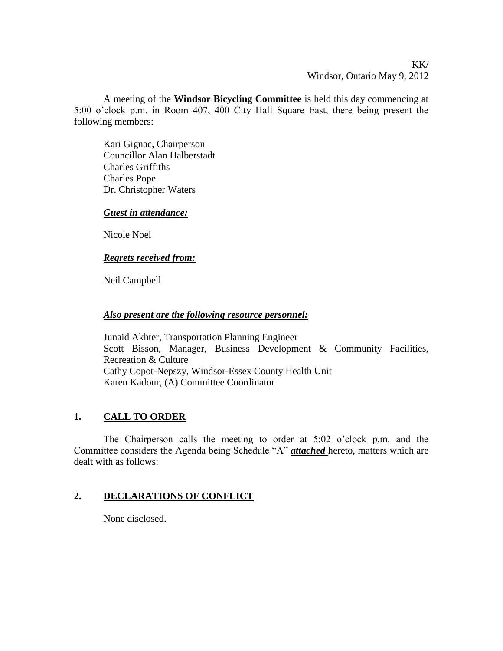# KK/ Windsor, Ontario May 9, 2012

A meeting of the **Windsor Bicycling Committee** is held this day commencing at 5:00 o'clock p.m. in Room 407, 400 City Hall Square East, there being present the following members:

Kari Gignac, Chairperson Councillor Alan Halberstadt Charles Griffiths Charles Pope Dr. Christopher Waters

### *Guest in attendance:*

Nicole Noel

#### *Regrets received from:*

Neil Campbell

#### *Also present are the following resource personnel:*

Junaid Akhter, Transportation Planning Engineer Scott Bisson, Manager, Business Development & Community Facilities, Recreation & Culture Cathy Copot-Nepszy, Windsor-Essex County Health Unit Karen Kadour, (A) Committee Coordinator

# **1. CALL TO ORDER**

The Chairperson calls the meeting to order at 5:02 o'clock p.m. and the Committee considers the Agenda being Schedule "A" *attached* hereto, matters which are dealt with as follows:

### **2. DECLARATIONS OF CONFLICT**

None disclosed.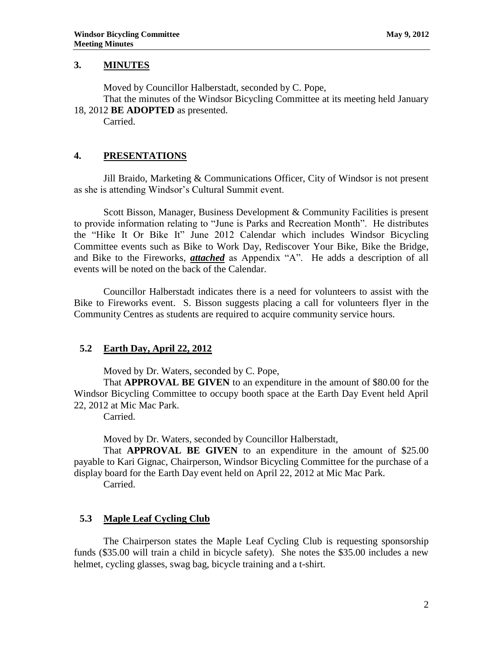### **3. MINUTES**

Moved by Councillor Halberstadt, seconded by C. Pope, That the minutes of the Windsor Bicycling Committee at its meeting held January

18, 2012 **BE ADOPTED** as presented.

Carried.

## **4. PRESENTATIONS**

Jill Braido, Marketing & Communications Officer, City of Windsor is not present as she is attending Windsor's Cultural Summit event.

Scott Bisson, Manager, Business Development & Community Facilities is present to provide information relating to "June is Parks and Recreation Month". He distributes the "Hike It Or Bike It" June 2012 Calendar which includes Windsor Bicycling Committee events such as Bike to Work Day, Rediscover Your Bike, Bike the Bridge, and Bike to the Fireworks, *attached* as Appendix "A". He adds a description of all events will be noted on the back of the Calendar.

Councillor Halberstadt indicates there is a need for volunteers to assist with the Bike to Fireworks event. S. Bisson suggests placing a call for volunteers flyer in the Community Centres as students are required to acquire community service hours.

### **5.2 Earth Day, April 22, 2012**

Moved by Dr. Waters, seconded by C. Pope,

That **APPROVAL BE GIVEN** to an expenditure in the amount of \$80.00 for the Windsor Bicycling Committee to occupy booth space at the Earth Day Event held April 22, 2012 at Mic Mac Park.

Carried.

Moved by Dr. Waters, seconded by Councillor Halberstadt,

That **APPROVAL BE GIVEN** to an expenditure in the amount of \$25.00 payable to Kari Gignac, Chairperson, Windsor Bicycling Committee for the purchase of a display board for the Earth Day event held on April 22, 2012 at Mic Mac Park.

Carried.

### **5.3 Maple Leaf Cycling Club**

The Chairperson states the Maple Leaf Cycling Club is requesting sponsorship funds (\$35.00 will train a child in bicycle safety). She notes the \$35.00 includes a new helmet, cycling glasses, swag bag, bicycle training and a t-shirt.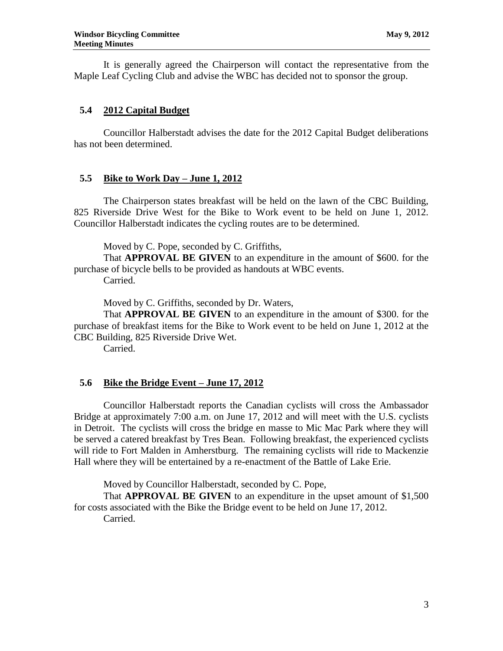It is generally agreed the Chairperson will contact the representative from the Maple Leaf Cycling Club and advise the WBC has decided not to sponsor the group.

# **5.4 2012 Capital Budget**

Councillor Halberstadt advises the date for the 2012 Capital Budget deliberations has not been determined.

### **5.5 Bike to Work Day – June 1, 2012**

The Chairperson states breakfast will be held on the lawn of the CBC Building, 825 Riverside Drive West for the Bike to Work event to be held on June 1, 2012. Councillor Halberstadt indicates the cycling routes are to be determined.

Moved by C. Pope, seconded by C. Griffiths,

That **APPROVAL BE GIVEN** to an expenditure in the amount of \$600. for the purchase of bicycle bells to be provided as handouts at WBC events.

Carried.

Moved by C. Griffiths, seconded by Dr. Waters,

That **APPROVAL BE GIVEN** to an expenditure in the amount of \$300. for the purchase of breakfast items for the Bike to Work event to be held on June 1, 2012 at the CBC Building, 825 Riverside Drive Wet.

Carried.

### **5.6 Bike the Bridge Event – June 17, 2012**

Councillor Halberstadt reports the Canadian cyclists will cross the Ambassador Bridge at approximately 7:00 a.m. on June 17, 2012 and will meet with the U.S. cyclists in Detroit. The cyclists will cross the bridge en masse to Mic Mac Park where they will be served a catered breakfast by Tres Bean. Following breakfast, the experienced cyclists will ride to Fort Malden in Amherstburg. The remaining cyclists will ride to Mackenzie Hall where they will be entertained by a re-enactment of the Battle of Lake Erie.

Moved by Councillor Halberstadt, seconded by C. Pope,

That **APPROVAL BE GIVEN** to an expenditure in the upset amount of \$1,500 for costs associated with the Bike the Bridge event to be held on June 17, 2012. Carried.